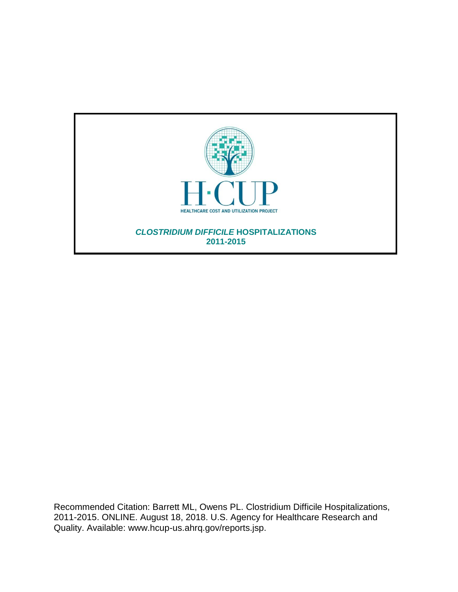

Recommended Citation: Barrett ML, Owens PL. Clostridium Difficile Hospitalizations, 2011-2015. ONLINE. August 18, 2018. U.S. Agency for Healthcare Research and Quality. Available: www.hcup-us.ahrq.gov/reports.jsp.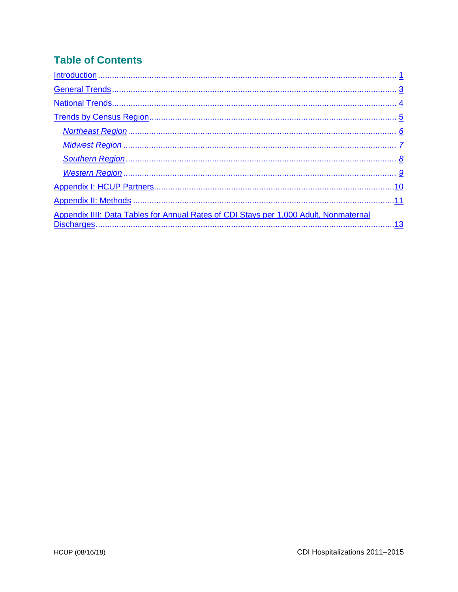# **Table of Contents**

| Appendix IIII: Data Tables for Annual Rates of CDI Stays per 1,000 Adult, Nonmaternal |  |
|---------------------------------------------------------------------------------------|--|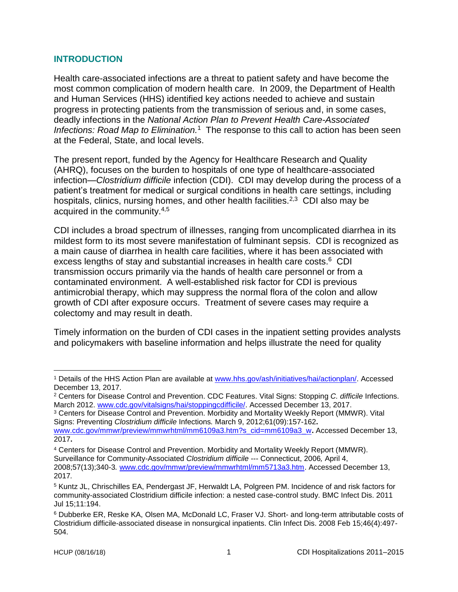#### <span id="page-2-0"></span>**INTRODUCTION**

Health care-associated infections are a threat to patient safety and have become the most common complication of modern health care. In 2009, the Department of Health and Human Services (HHS) identified key actions needed to achieve and sustain progress in protecting patients from the transmission of serious and, in some cases, deadly infections in the *National Action Plan to Prevent Health Care-Associated*  Infections: Road Map to Elimination.<sup>1</sup> The response to this call to action has been seen at the Federal, State, and local levels.

The present report, funded by the Agency for Healthcare Research and Quality (AHRQ), focuses on the burden to hospitals of one type of healthcare-associated infection—*Clostridium difficile* infection (CDI). CDI may develop during the process of a patient's treatment for medical or surgical conditions in health care settings, including hospitals, clinics, nursing homes, and other health facilities.<sup>2,3</sup> CDI also may be acquired in the community.<sup>4,5</sup>

CDI includes a broad spectrum of illnesses, ranging from uncomplicated diarrhea in its mildest form to its most severe manifestation of fulminant sepsis. CDI is recognized as a main cause of diarrhea in health care facilities, where it has been associated with excess lengths of stay and substantial increases in health care costs. $6$  CDI transmission occurs primarily via the hands of health care personnel or from a contaminated environment. A well-established risk factor for CDI is previous antimicrobial therapy, which may suppress the normal flora of the colon and allow growth of CDI after exposure occurs. Treatment of severe cases may require a colectomy and may result in death.

Timely information on the burden of CDI cases in the inpatient setting provides analysts and policymakers with baseline information and helps illustrate the need for quality

<sup>3</sup> Centers for Disease Control and Prevention. Morbidity and Mortality Weekly Report (MMWR). Vital Signs: Preventing *Clostridium difficile* Infections*.* March 9, 2012;61(09):157-162**.** 

 $\overline{a}$ 

<sup>1</sup> Details of the HHS Action Plan are available at [www.hhs.gov/ash/initiatives/hai/actionplan/.](http://www.hhs.gov/ash/initiatives/hai/actionplan/) Accessed December 13, 2017.

<sup>2</sup> Centers for Disease Control and Prevention. CDC Features. Vital Signs: Stopping *C. difficile* Infections. March 2012. [www.cdc.gov/vitalsigns/hai/stoppingcdifficile/.](http://www.cdc.gov/vitalsigns/hai/stoppingcdifficile/) Accessed December 13, 2017.

[www.cdc.gov/mmwr/preview/mmwrhtml/mm6109a3.htm?s\\_cid=mm6109a3\\_w](http://www.cdc.gov/mmwr/preview/mmwrhtml/mm6109a3.htm?s_cid=mm6109a3_w)**.** Accessed December 13, 2017**.**

<sup>4</sup> Centers for Disease Control and Prevention. Morbidity and Mortality Weekly Report (MMWR). Surveillance for Community-Associated *Clostridium difficile* --- Connecticut, 2006*,* April 4, 2008;57(13);340-3*.* [www.cdc.gov/mmwr/preview/mmwrhtml/mm5713a3.htm.](http://www.cdc.gov/mmwr/preview/mmwrhtml/mm5713a3.htm) Accessed December 13, 2017*.* 

<sup>5</sup> Kuntz JL, Chrischilles EA, Pendergast JF, Herwaldt LA, Polgreen PM. Incidence of and risk factors for community-associated Clostridium difficile infection: a nested case-control study. BMC Infect Dis. 2011 Jul 15;11:194.

<sup>6</sup> Dubberke ER, Reske KA, Olsen MA, McDonald LC, Fraser VJ. Short- and long-term attributable costs of Clostridium difficile-associated disease in nonsurgical inpatients. Clin Infect Dis. 2008 Feb 15;46(4):497- 504.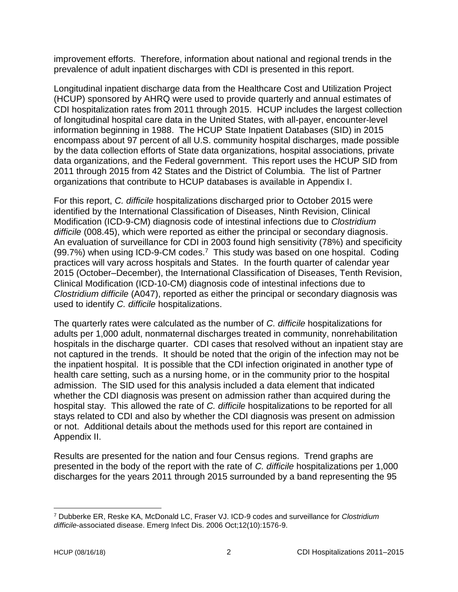improvement efforts. Therefore, information about national and regional trends in the prevalence of adult inpatient discharges with CDI is presented in this report.

Longitudinal inpatient discharge data from the Healthcare Cost and Utilization Project (HCUP) sponsored by AHRQ were used to provide quarterly and annual estimates of CDI hospitalization rates from 2011 through 2015. HCUP includes the largest collection of longitudinal hospital care data in the United States, with all-payer, encounter-level information beginning in 1988. The HCUP State Inpatient Databases (SID) in 2015 encompass about 97 percent of all U.S. community hospital discharges, made possible by the data collection efforts of State data organizations, hospital associations, private data organizations, and the Federal government. This report uses the HCUP SID from 2011 through 2015 from 42 States and the District of Columbia. The list of Partner organizations that contribute to HCUP databases is available in Appendix I.

For this report, *C. difficile* hospitalizations discharged prior to October 2015 were identified by the International Classification of Diseases, Ninth Revision, Clinical Modification (ICD-9-CM) diagnosis code of intestinal infections due to *Clostridium difficile* (008.45), which were reported as either the principal or secondary diagnosis. An evaluation of surveillance for CDI in 2003 found high sensitivity (78%) and specificity  $(99.7%)$  when using ICD-9-CM codes.<sup>7</sup> This study was based on one hospital. Coding practices will vary across hospitals and States. In the fourth quarter of calendar year 2015 (October–December), the International Classification of Diseases, Tenth Revision, Clinical Modification (ICD-10-CM) diagnosis code of intestinal infections due to *Clostridium difficile* (A047), reported as either the principal or secondary diagnosis was used to identify *C. difficile* hospitalizations.

The quarterly rates were calculated as the number of *C. difficile* hospitalizations for adults per 1,000 adult, nonmaternal discharges treated in community, nonrehabilitation hospitals in the discharge quarter. CDI cases that resolved without an inpatient stay are not captured in the trends. It should be noted that the origin of the infection may not be the inpatient hospital. It is possible that the CDI infection originated in another type of health care setting, such as a nursing home, or in the community prior to the hospital admission. The SID used for this analysis included a data element that indicated whether the CDI diagnosis was present on admission rather than acquired during the hospital stay. This allowed the rate of *C. difficile* hospitalizations to be reported for all stays related to CDI and also by whether the CDI diagnosis was present on admission or not. Additional details about the methods used for this report are contained in Appendix II.

Results are presented for the nation and four Census regions. Trend graphs are presented in the body of the report with the rate of *C. difficile* hospitalizations per 1,000 discharges for the years 2011 through 2015 surrounded by a band representing the 95

 $\overline{a}$ 

<sup>7</sup> Dubberke ER, Reske KA, McDonald LC, Fraser VJ. ICD-9 codes and surveillance for *Clostridium difficile*-associated disease. Emerg Infect Dis. 2006 Oct;12(10):1576-9.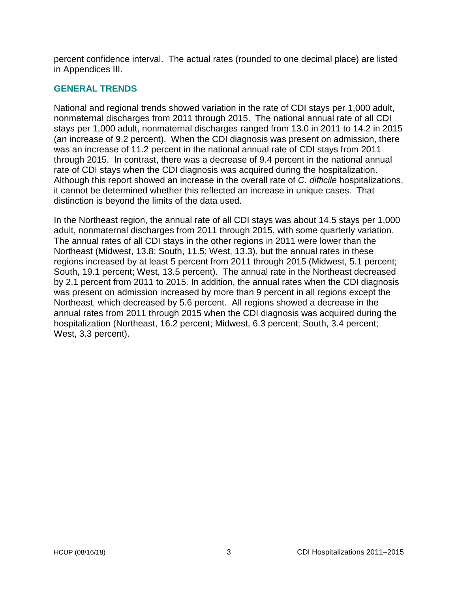percent confidence interval. The actual rates (rounded to one decimal place) are listed in Appendices III.

## <span id="page-4-0"></span>**GENERAL TRENDS**

National and regional trends showed variation in the rate of CDI stays per 1,000 adult, nonmaternal discharges from 2011 through 2015. The national annual rate of all CDI stays per 1,000 adult, nonmaternal discharges ranged from 13.0 in 2011 to 14.2 in 2015 (an increase of 9.2 percent). When the CDI diagnosis was present on admission, there was an increase of 11.2 percent in the national annual rate of CDI stays from 2011 through 2015. In contrast, there was a decrease of 9.4 percent in the national annual rate of CDI stays when the CDI diagnosis was acquired during the hospitalization. Although this report showed an increase in the overall rate of *C. difficile* hospitalizations, it cannot be determined whether this reflected an increase in unique cases. That distinction is beyond the limits of the data used.

In the Northeast region, the annual rate of all CDI stays was about 14.5 stays per 1,000 adult, nonmaternal discharges from 2011 through 2015, with some quarterly variation. The annual rates of all CDI stays in the other regions in 2011 were lower than the Northeast (Midwest, 13.8; South, 11.5; West, 13.3), but the annual rates in these regions increased by at least 5 percent from 2011 through 2015 (Midwest, 5.1 percent; South, 19.1 percent; West, 13.5 percent). The annual rate in the Northeast decreased by 2.1 percent from 2011 to 2015. In addition, the annual rates when the CDI diagnosis was present on admission increased by more than 9 percent in all regions except the Northeast, which decreased by 5.6 percent. All regions showed a decrease in the annual rates from 2011 through 2015 when the CDI diagnosis was acquired during the hospitalization (Northeast, 16.2 percent; Midwest, 6.3 percent; South, 3.4 percent; West, 3.3 percent).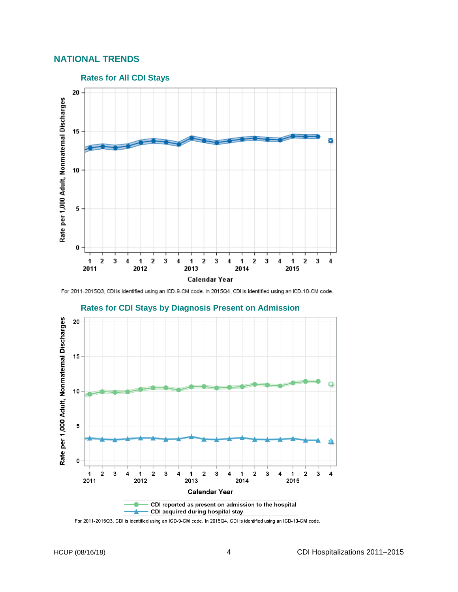## <span id="page-5-0"></span>**NATIONAL TRENDS**



For 2011-2015Q3, CDI is identified using an ICD-9-CM code. In 2015Q4, CDI is identified using an ICD-10-CM code.



**Rates for CDI Stays by Diagnosis Present on Admission**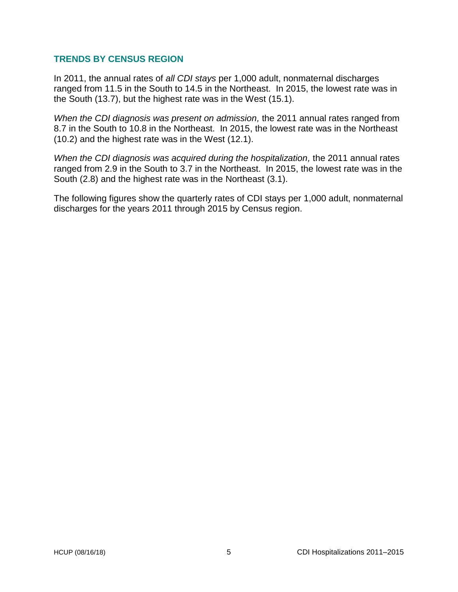## <span id="page-6-0"></span>**TRENDS BY CENSUS REGION**

In 2011, the annual rates of *all CDI stays* per 1,000 adult, nonmaternal discharges ranged from 11.5 in the South to 14.5 in the Northeast. In 2015, the lowest rate was in the South (13.7), but the highest rate was in the West (15.1).

*When the CDI diagnosis was present on admission,* the 2011 annual rates ranged from 8.7 in the South to 10.8 in the Northeast. In 2015, the lowest rate was in the Northeast (10.2) and the highest rate was in the West (12.1).

*When the CDI diagnosis was acquired during the hospitalization,* the 2011 annual rates ranged from 2.9 in the South to 3.7 in the Northeast. In 2015, the lowest rate was in the South (2.8) and the highest rate was in the Northeast (3.1).

The following figures show the quarterly rates of CDI stays per 1,000 adult, nonmaternal discharges for the years 2011 through 2015 by Census region.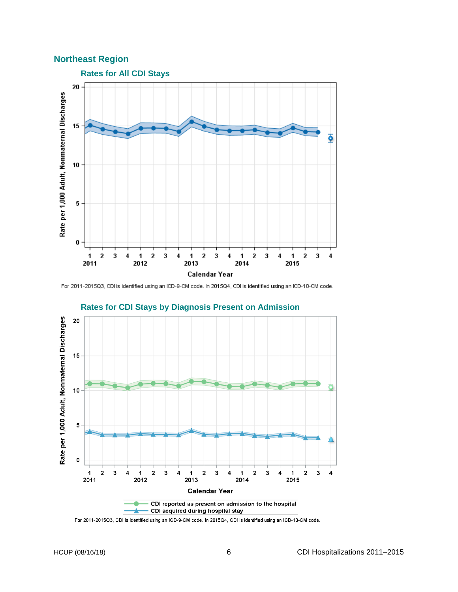## <span id="page-7-0"></span>**Northeast Region**



For 2011-2015Q3, CDI is identified using an ICD-9-CM code. In 2015Q4, CDI is identified using an ICD-10-CM code.



**Rates for CDI Stays by Diagnosis Present on Admission**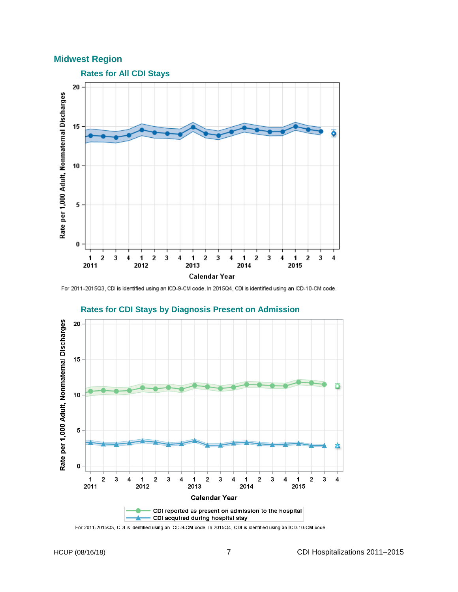#### <span id="page-8-0"></span>**Midwest Region**



For 2011-2015Q3, CDI is identified using an ICD-9-CM code. In 2015Q4, CDI is identified using an ICD-10-CM code.



**Rates for CDI Stays by Diagnosis Present on Admission**

For 2011-2015Q3, CDI is identified using an ICD-9-CM code. In 2015Q4, CDI is identified using an ICD-10-CM code.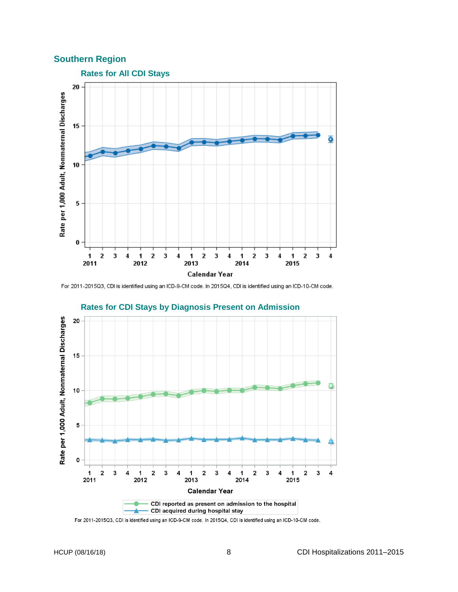## <span id="page-9-0"></span>**Southern Region**



For 2011-2015Q3, CDI is identified using an ICD-9-CM code. In 2015Q4, CDI is identified using an ICD-10-CM code.



**Rates for CDI Stays by Diagnosis Present on Admission**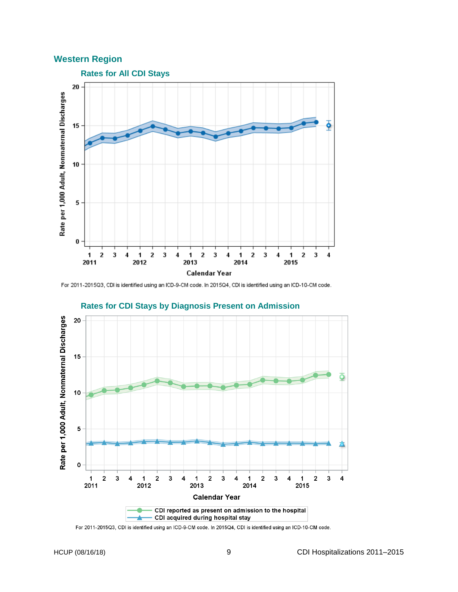#### <span id="page-10-0"></span>**Western Region**



For 2011-2015Q3, CDI is identified using an ICD-9-CM code. In 2015Q4, CDI is identified using an ICD-10-CM code.



**Rates for CDI Stays by Diagnosis Present on Admission**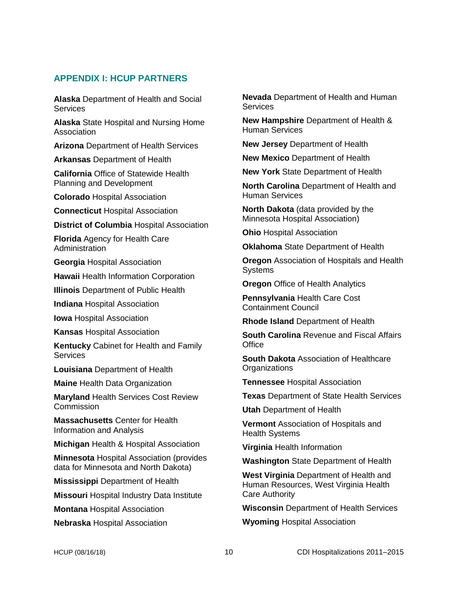## <span id="page-11-0"></span>**APPENDIX I: HCUP PARTNERS**

**Alaska** Department of Health and Social **Services** 

**Alaska** State Hospital and Nursing Home **Association** 

**Arizona** Department of Health Services

**Arkansas** Department of Health

**California** Office of Statewide Health Planning and Development

**Colorado** Hospital Association

**Connecticut** Hospital Association

**District of Columbia** Hospital Association

**Florida** Agency for Health Care Administration

**Georgia** Hospital Association

**Hawaii** Health Information Corporation

**Illinois** Department of Public Health

**Indiana** Hospital Association

**Iowa** Hospital Association

**Kansas** Hospital Association

**Kentucky** Cabinet for Health and Family Services

**Louisiana** Department of Health

**Maine** Health Data Organization

**Maryland** Health Services Cost Review Commission

**Massachusetts** Center for Health Information and Analysis

**Michigan** Health & Hospital Association

**Minnesota** Hospital Association (provides data for Minnesota and North Dakota)

**Mississippi** Department of Health

**Missouri** Hospital Industry Data Institute

**Montana** Hospital Association

**Nebraska** Hospital Association

**Nevada** Department of Health and Human **Services** 

**New Hampshire** Department of Health & Human Services

**New Jersey** Department of Health

**New Mexico** Department of Health

**New York** State Department of Health

**North Carolina** Department of Health and Human Services

**North Dakota** (data provided by the Minnesota Hospital Association)

**Ohio** Hospital Association

**Oklahoma** State Department of Health

**Oregon** Association of Hospitals and Health **Systems** 

**Oregon** Office of Health Analytics

**Pennsylvania** Health Care Cost Containment Council

**Rhode Island** Department of Health

**South Carolina** Revenue and Fiscal Affairs **Office** 

**South Dakota** Association of Healthcare **Organizations** 

**Tennessee** Hospital Association

**Texas** Department of State Health Services

**Utah** Department of Health

**Vermont** Association of Hospitals and Health Systems

**Virginia** Health Information

**Washington** State Department of Health

**West Virginia** Department of Health and Human Resources, West Virginia Health Care Authority

**Wisconsin** Department of Health Services

**Wyoming** Hospital Association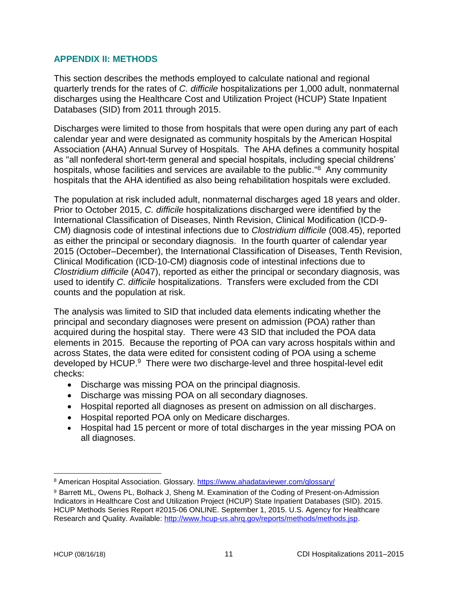## <span id="page-12-0"></span>**APPENDIX II: METHODS**

This section describes the methods employed to calculate national and regional quarterly trends for the rates of *C. difficile* hospitalizations per 1,000 adult, nonmaternal discharges using the Healthcare Cost and Utilization Project (HCUP) State Inpatient Databases (SID) from 2011 through 2015.

Discharges were limited to those from hospitals that were open during any part of each calendar year and were designated as community hospitals by the American Hospital Association (AHA) Annual Survey of Hospitals. The AHA defines a community hospital as "all nonfederal short-term general and special hospitals, including special childrens' hospitals, whose facilities and services are available to the public."<sup>8</sup> Any community hospitals that the AHA identified as also being rehabilitation hospitals were excluded.

The population at risk included adult, nonmaternal discharges aged 18 years and older. Prior to October 2015, *C. difficile* hospitalizations discharged were identified by the International Classification of Diseases, Ninth Revision, Clinical Modification (ICD-9- CM) diagnosis code of intestinal infections due to *Clostridium difficile* (008.45), reported as either the principal or secondary diagnosis. In the fourth quarter of calendar year 2015 (October–December), the International Classification of Diseases, Tenth Revision, Clinical Modification (ICD-10-CM) diagnosis code of intestinal infections due to *Clostridium difficile* (A047), reported as either the principal or secondary diagnosis, was used to identify *C. difficile* hospitalizations. Transfers were excluded from the CDI counts and the population at risk.

The analysis was limited to SID that included data elements indicating whether the principal and secondary diagnoses were present on admission (POA) rather than acquired during the hospital stay. There were 43 SID that included the POA data elements in 2015. Because the reporting of POA can vary across hospitals within and across States, the data were edited for consistent coding of POA using a scheme developed by HCUP.<sup>9</sup> There were two discharge-level and three hospital-level edit checks:

- Discharge was missing POA on the principal diagnosis.
- Discharge was missing POA on all secondary diagnoses.
- Hospital reported all diagnoses as present on admission on all discharges.
- Hospital reported POA only on Medicare discharges.
- Hospital had 15 percent or more of total discharges in the year missing POA on all diagnoses.

 $\overline{a}$ <sup>8</sup> American Hospital Association. Glossary.<https://www.ahadataviewer.com/glossary/>

<sup>9</sup> Barrett ML, Owens PL, Bolhack J, Sheng M. Examination of the Coding of Present-on-Admission Indicators in Healthcare Cost and Utilization Project (HCUP) State Inpatient Databases (SID). 2015. HCUP Methods Series Report #2015-06 ONLINE. September 1, 2015. U.S. Agency for Healthcare Research and Quality. Available: [http://www.hcup-us.ahrq.gov/reports/methods/methods.jsp.](http://www.hcup-us.ahrq.gov/reports/methods/methods.jsp)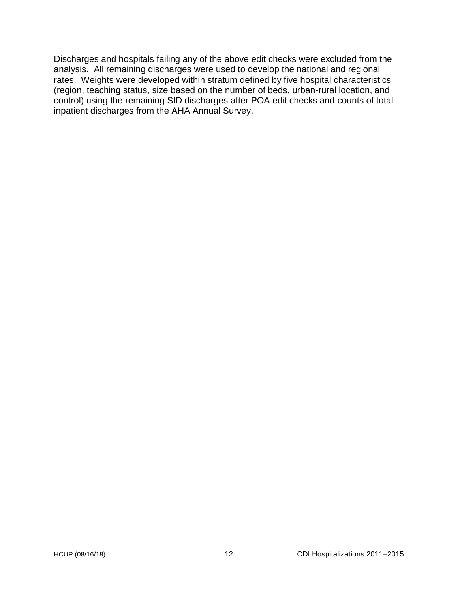Discharges and hospitals failing any of the above edit checks were excluded from the analysis. All remaining discharges were used to develop the national and regional rates. Weights were developed within stratum defined by five hospital characteristics (region, teaching status, size based on the number of beds, urban-rural location, and control) using the remaining SID discharges after POA edit checks and counts of total inpatient discharges from the AHA Annual Survey.